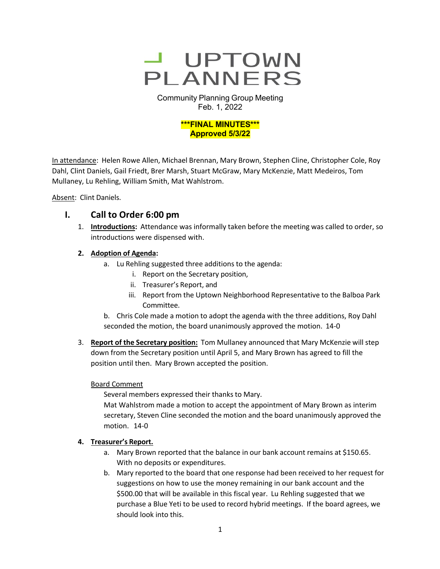

Community Planning Group Meeting Feb. 1, 2022



In attendance: Helen Rowe Allen, Michael Brennan, Mary Brown, Stephen Cline, Christopher Cole, Roy Dahl, Clint Daniels, Gail Friedt, Brer Marsh, Stuart McGraw, Mary McKenzie, Matt Medeiros, Tom Mullaney, Lu Rehling, William Smith, Mat Wahlstrom.

Absent: Clint Daniels.

## **I. Call to Order 6:00 pm**

1. **Introductions:** Attendance was informally taken before the meeting was called to order, so introductions were dispensed with.

## **2. Adoption of Agenda:**

- a. Lu Rehling suggested three additions to the agenda:
	- i. Report on the Secretary position,
	- ii. Treasurer's Report, and
	- iii. Report from the Uptown Neighborhood Representative to the Balboa Park Committee.

b. Chris Cole made a motion to adopt the agenda with the three additions, Roy Dahl seconded the motion, the board unanimously approved the motion. 14-0

3. **Report of the Secretary position:** Tom Mullaney announced that Mary McKenzie will step down from the Secretary position until April 5, and Mary Brown has agreed to fill the position until then. Mary Brown accepted the position.

Board Comment

Several members expressed their thanks to Mary.

Mat Wahlstrom made a motion to accept the appointment of Mary Brown as interim secretary, Steven Cline seconded the motion and the board unanimously approved the motion. 14-0

## **4. Treasurer's Report.**

- a. Mary Brown reported that the balance in our bank account remains at \$150.65. With no deposits or expenditures.
- b. Mary reported to the board that one response had been received to her request for suggestions on how to use the money remaining in our bank account and the \$500.00 that will be available in this fiscal year. Lu Rehling suggested that we purchase a Blue Yeti to be used to record hybrid meetings. If the board agrees, we should look into this.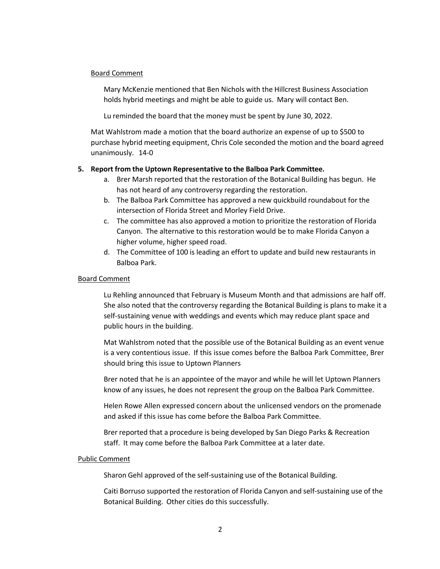### Board Comment

Mary McKenzie mentioned that Ben Nichols with the Hillcrest Business Association holds hybrid meetings and might be able to guide us. Mary will contact Ben.

Lu reminded the board that the money must be spent by June 30, 2022.

Mat Wahlstrom made a motion that the board authorize an expense of up to \$500 to purchase hybrid meeting equipment, Chris Cole seconded the motion and the board agreed unanimously. 14-0

### **5. Report from the Uptown Representative to the Balboa Park Committee.**

- a. Brer Marsh reported that the restoration of the Botanical Building has begun. He has not heard of any controversy regarding the restoration.
- b. The Balboa Park Committee has approved a new quickbuild roundabout for the intersection of Florida Street and Morley Field Drive.
- c. The committee has also approved a motion to prioritize the restoration of Florida Canyon. The alternative to this restoration would be to make Florida Canyon a higher volume, higher speed road.
- d. The Committee of 100 is leading an effort to update and build new restaurants in Balboa Park.

### Board Comment

Lu Rehling announced that February is Museum Month and that admissions are half off. She also noted that the controversy regarding the Botanical Building is plans to make it a self-sustaining venue with weddings and events which may reduce plant space and public hours in the building.

Mat Wahlstrom noted that the possible use of the Botanical Building as an event venue is a very contentious issue. If this issue comes before the Balboa Park Committee, Brer should bring this issue to Uptown Planners

Brer noted that he is an appointee of the mayor and while he will let Uptown Planners know of any issues, he does not represent the group on the Balboa Park Committee.

Helen Rowe Allen expressed concern about the unlicensed vendors on the promenade and asked if this issue has come before the Balboa Park Committee.

Brer reported that a procedure is being developed by San Diego Parks & Recreation staff. It may come before the Balboa Park Committee at a later date.

### Public Comment

Sharon Gehl approved of the self-sustaining use of the Botanical Building.

Caiti Borruso supported the restoration of Florida Canyon and self-sustaining use of the Botanical Building. Other cities do this successfully.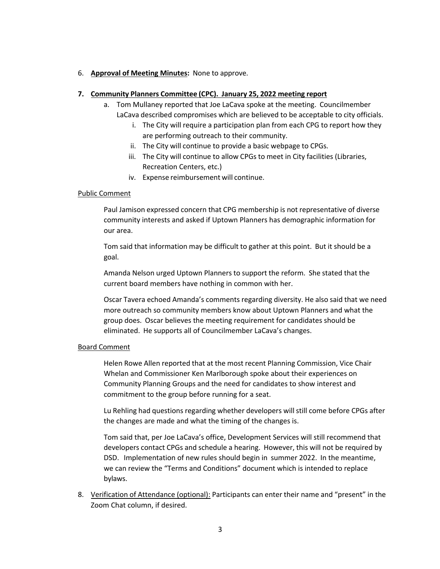### 6. **Approval of Meeting Minutes:** None to approve.

### **7. Community Planners Committee (CPC). January 25, 2022 meeting report**

- a. Tom Mullaney reported that Joe LaCava spoke at the meeting. Councilmember LaCava described compromises which are believed to be acceptable to city officials.
	- i. The City will require a participation plan from each CPG to report how they are performing outreach to their community.
	- ii. The City will continue to provide a basic webpage to CPGs.
	- iii. The City will continue to allow CPGs to meet in City facilities (Libraries, Recreation Centers, etc.)
	- iv. Expense reimbursement will continue.

### Public Comment

Paul Jamison expressed concern that CPG membership is not representative of diverse community interests and asked if Uptown Planners has demographic information for our area.

Tom said that information may be difficult to gather at this point. But it should be a goal.

Amanda Nelson urged Uptown Planners to support the reform. She stated that the current board members have nothing in common with her.

Oscar Tavera echoed Amanda's comments regarding diversity. He also said that we need more outreach so community members know about Uptown Planners and what the group does. Oscar believes the meeting requirement for candidates should be eliminated. He supports all of Councilmember LaCava's changes.

### Board Comment

Helen Rowe Allen reported that at the most recent Planning Commission, Vice Chair Whelan and Commissioner Ken Marlborough spoke about their experiences on Community Planning Groups and the need for candidates to show interest and commitment to the group before running for a seat.

Lu Rehling had questions regarding whether developers will still come before CPGs after the changes are made and what the timing of the changes is.

Tom said that, per Joe LaCava's office, Development Services will still recommend that developers contact CPGs and schedule a hearing. However, this will not be required by DSD. Implementation of new rules should begin in summer 2022. In the meantime, we can review the "Terms and Conditions" document which is intended to replace bylaws.

8. Verification of Attendance (optional): Participants can enter their name and "present" in the Zoom Chat column, if desired.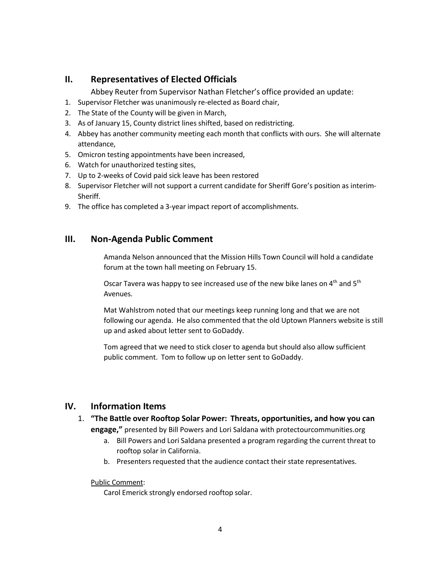# **II. Representatives of Elected Officials**

Abbey Reuter from Supervisor Nathan Fletcher's office provided an update:

- 1. Supervisor Fletcher was unanimously re-elected as Board chair,
- 2. The State of the County will be given in March,
- 3. As of January 15, County district lines shifted, based on redistricting.
- 4. Abbey has another community meeting each month that conflicts with ours. She will alternate attendance,
- 5. Omicron testing appointments have been increased,
- 6. Watch for unauthorized testing sites,
- 7. Up to 2-weeks of Covid paid sick leave has been restored
- 8. Supervisor Fletcher will not support a current candidate for Sheriff Gore's position as interim-Sheriff.
- 9. The office has completed a 3-year impact report of accomplishments.

# **III. Non-Agenda Public Comment**

Amanda Nelson announced that the Mission Hills Town Council will hold a candidate forum at the town hall meeting on February 15.

Oscar Tavera was happy to see increased use of the new bike lanes on 4<sup>th</sup> and 5<sup>th</sup> Avenues.

Mat Wahlstrom noted that our meetings keep running long and that we are not following our agenda. He also commented that the old Uptown Planners website is still up and asked about letter sent to GoDaddy.

Tom agreed that we need to stick closer to agenda but should also allow sufficient public comment. Tom to follow up on letter sent to GoDaddy.

# **IV. Information Items**

- 1. **"The Battle over Rooftop Solar Power: Threats, opportunities, and how you can engage,"** presented by Bill Powers and Lori Saldana with protectourcommunities.org
	- a. Bill Powers and Lori Saldana presented a program regarding the current threat to rooftop solar in California.
	- b. Presenters requested that the audience contact their state representatives.

## Public Comment:

Carol Emerick strongly endorsed rooftop solar.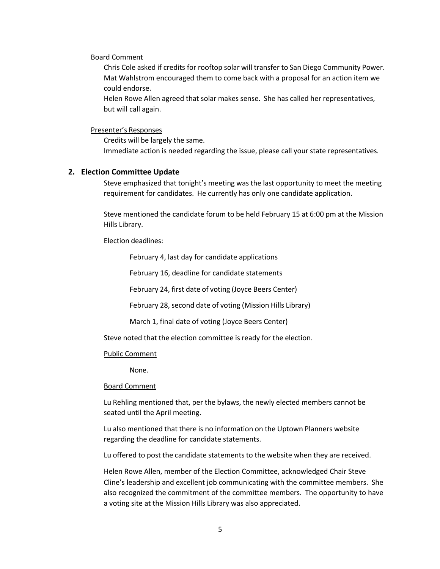#### Board Comment

Chris Cole asked if credits for rooftop solar will transfer to San Diego Community Power. Mat Wahlstrom encouraged them to come back with a proposal for an action item we could endorse.

Helen Rowe Allen agreed that solar makes sense. She has called her representatives, but will call again.

#### Presenter's Responses

Credits will be largely the same. Immediate action is needed regarding the issue, please call your state representatives.

### **2. Election Committee Update**

Steve emphasized that tonight's meeting was the last opportunity to meet the meeting requirement for candidates. He currently has only one candidate application.

Steve mentioned the candidate forum to be held February 15 at 6:00 pm at the Mission Hills Library.

Election deadlines:

February 4, last day for candidate applications

February 16, deadline for candidate statements

February 24, first date of voting (Joyce Beers Center)

February 28, second date of voting (Mission Hills Library)

March 1, final date of voting (Joyce Beers Center)

Steve noted that the election committee is ready for the election.

#### Public Comment

None.

#### Board Comment

Lu Rehling mentioned that, per the bylaws, the newly elected members cannot be seated until the April meeting.

Lu also mentioned that there is no information on the Uptown Planners website regarding the deadline for candidate statements.

Lu offered to post the candidate statements to the website when they are received.

Helen Rowe Allen, member of the Election Committee, acknowledged Chair Steve Cline's leadership and excellent job communicating with the committee members. She also recognized the commitment of the committee members. The opportunity to have a voting site at the Mission Hills Library was also appreciated.